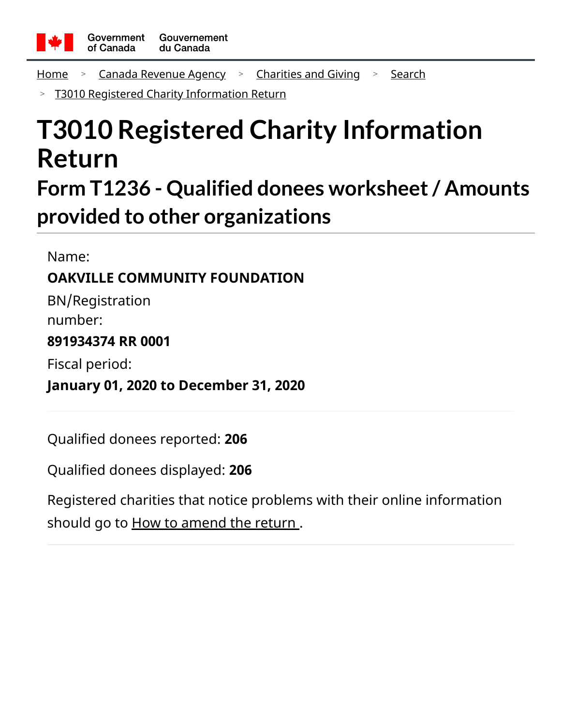

<u>[Home](https://apps.cra-arc.gc.ca/ebci/hacc/srch/pub/rdrctToLnk?linkKey=breadcrumbHome) Sanada Revenue Agency Socharities and Giving Sochech</u>

[T3010 Registered Charity Information Return](https://apps.cra-arc.gc.ca/ebci/hacc/srch/pub/t3010/v25/t3010ovrvw) >

# **T3010 Registered Charity Information Return**

## **Form T1236 - Qualified donees worksheet/ Amounts provided to other organizations**

Name: **OAKVILLE COMMUNITY FOUNDATION** BN/Registration number: **891934374 RR 0001** Fiscal period: **January 01, 2020 to December 31, 2020**

Qualified donees reported: **206**

Qualified donees displayed: **206**

Registered charities that notice problems with their online information should go to **How to amend the return**.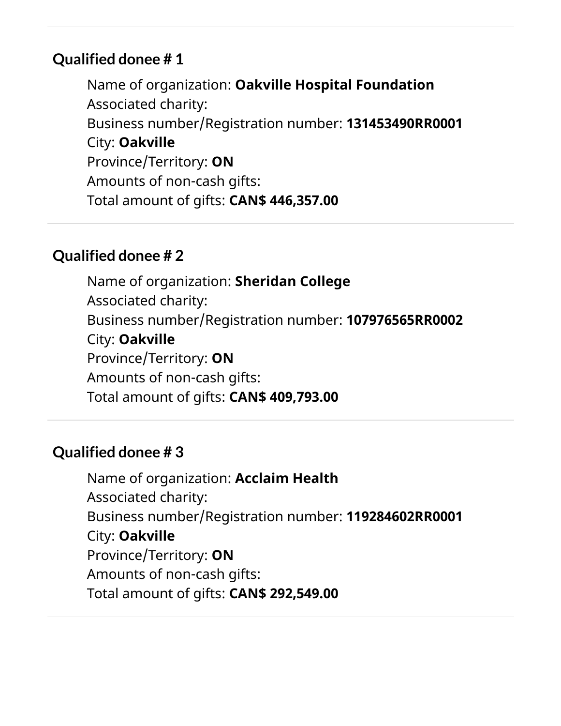Name of organization: **Oakville Hospital Foundation** Associated charity: Business number/Registration number: **131453490RR0001** City: **Oakville** Province/Territory: **ON** Amounts of non-cash gifts: Total amount of gifts: **CAN\$ 446,357.00**

#### **Qualified donee # 2**

Name of organization: **Sheridan College** Associated charity: Business number/Registration number: **107976565RR0002** City: **Oakville** Province/Territory: **ON** Amounts of non-cash gifts: Total amount of gifts: **CAN\$ 409,793.00**

#### **Qualified donee # 3**

Name of organization: **Acclaim Health** Associated charity: Business number/Registration number: **119284602RR0001** City: **Oakville** Province/Territory: **ON** Amounts of non-cash gifts: Total amount of gifts: **CAN\$ 292,549.00**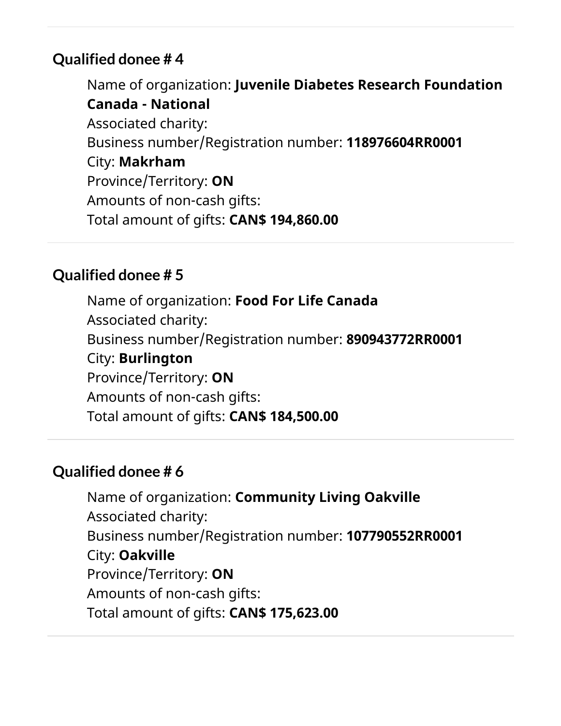Name of organization: **Juvenile Diabetes Research Foundation Canada - National** Associated charity: Business number/Registration number: **118976604RR0001** City: **Makrham** Province/Territory: **ON** Amounts of non-cash gifts: Total amount of gifts: **CAN\$ 194,860.00**

#### **Qualified donee # 5**

Name of organization: **Food For Life Canada** Associated charity: Business number/Registration number: **890943772RR0001** City: **Burlington** Province/Territory: **ON** Amounts of non-cash gifts: Total amount of gifts: **CAN\$ 184,500.00**

#### **Qualified donee # 6**

Name of organization: **Community Living Oakville** Associated charity: Business number/Registration number: **107790552RR0001** City: **Oakville** Province/Territory: **ON** Amounts of non-cash gifts: Total amount of gifts: **CAN\$ 175,623.00**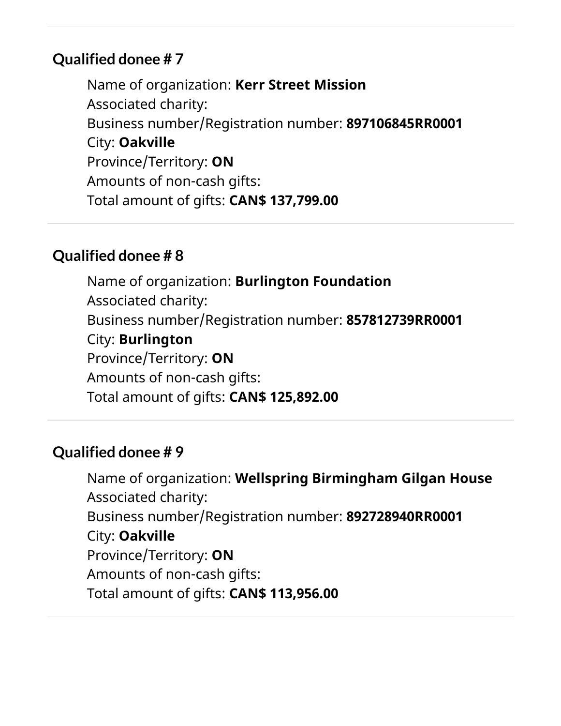Name of organization: **Kerr Street Mission** Associated charity: Business number/Registration number: **897106845RR0001** City: **Oakville** Province/Territory: **ON** Amounts of non-cash gifts: Total amount of gifts: **CAN\$ 137,799.00**

#### **Qualified donee # 8**

Name of organization: **Burlington Foundation** Associated charity: Business number/Registration number: **857812739RR0001** City: **Burlington** Province/Territory: **ON** Amounts of non-cash gifts: Total amount of gifts: **CAN\$ 125,892.00**

#### **Qualified donee # 9**

Name of organization: **Wellspring Birmingham Gilgan House** Associated charity: Business number/Registration number: **892728940RR0001** City: **Oakville** Province/Territory: **ON** Amounts of non-cash gifts: Total amount of gifts: **CAN\$ 113,956.00**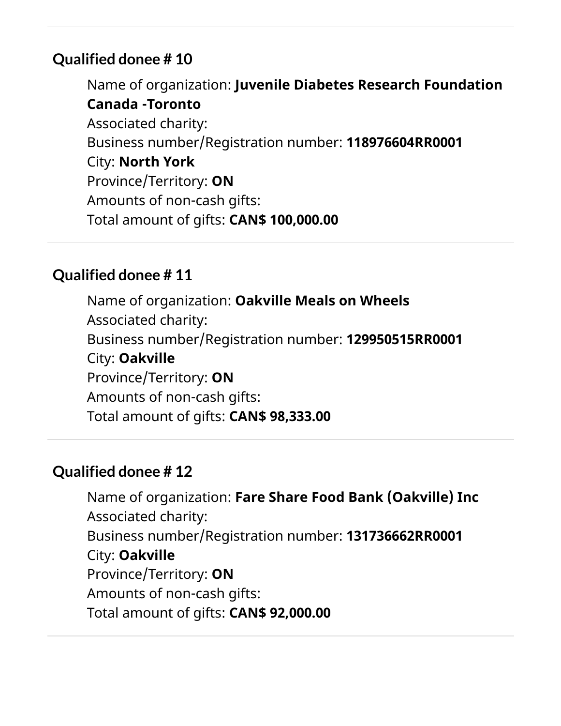Name of organization: **Juvenile Diabetes Research Foundation Canada -Toronto** Associated charity: Business number/Registration number: **118976604RR0001** City: **North York** Province/Territory: **ON** Amounts of non-cash gifts: Total amount of gifts: **CAN\$ 100,000.00**

## **Qualified donee # 11**

Name of organization: **Oakville Meals on Wheels** Associated charity: Business number/Registration number: **129950515RR0001** City: **Oakville** Province/Territory: **ON** Amounts of non-cash gifts: Total amount of gifts: **CAN\$ 98,333.00**

## **Qualified donee # 12**

Name of organization: **Fare Share Food Bank (Oakville) Inc** Associated charity: Business number/Registration number: **131736662RR0001** City: **Oakville** Province/Territory: **ON** Amounts of non-cash gifts: Total amount of gifts: **CAN\$ 92,000.00**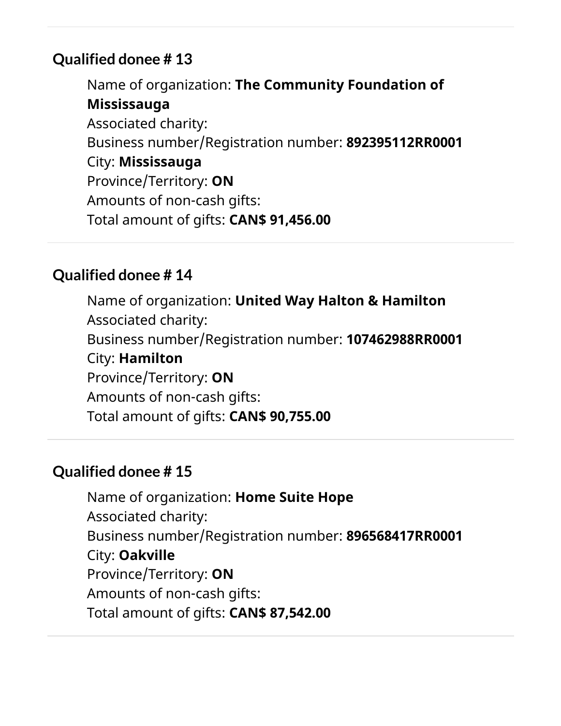Name of organization: **The Community Foundation of Mississauga** Associated charity: Business number/Registration number: **892395112RR0001** City: **Mississauga** Province/Territory: **ON** Amounts of non-cash gifts: Total amount of gifts: **CAN\$ 91,456.00**

## **Qualified donee # 14**

Name of organization: **United Way Halton & Hamilton** Associated charity: Business number/Registration number: **107462988RR0001** City: **Hamilton** Province/Territory: **ON** Amounts of non-cash gifts: Total amount of gifts: **CAN\$ 90,755.00**

## **Qualified donee # 15**

Name of organization: **Home Suite Hope** Associated charity: Business number/Registration number: **896568417RR0001** City: **Oakville** Province/Territory: **ON** Amounts of non-cash gifts: Total amount of gifts: **CAN\$ 87,542.00**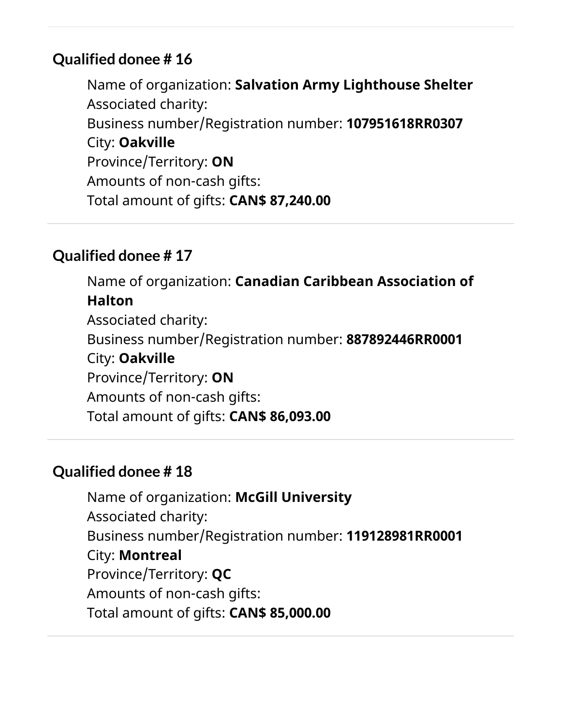Name of organization: **Salvation Army Lighthouse Shelter** Associated charity: Business number/Registration number: **107951618RR0307** City: **Oakville** Province/Territory: **ON** Amounts of non-cash gifts: Total amount of gifts: **CAN\$ 87,240.00**

#### **Qualified donee # 17**

Name of organization: **Canadian Caribbean Association of Halton** Associated charity: Business number/Registration number: **887892446RR0001** City: **Oakville** Province/Territory: **ON** Amounts of non-cash gifts: Total amount of gifts: **CAN\$ 86,093.00**

## **Qualified donee # 18**

Name of organization: **McGill University** Associated charity: Business number/Registration number: **119128981RR0001** City: **Montreal** Province/Territory: **QC** Amounts of non-cash gifts: Total amount of gifts: **CAN\$ 85,000.00**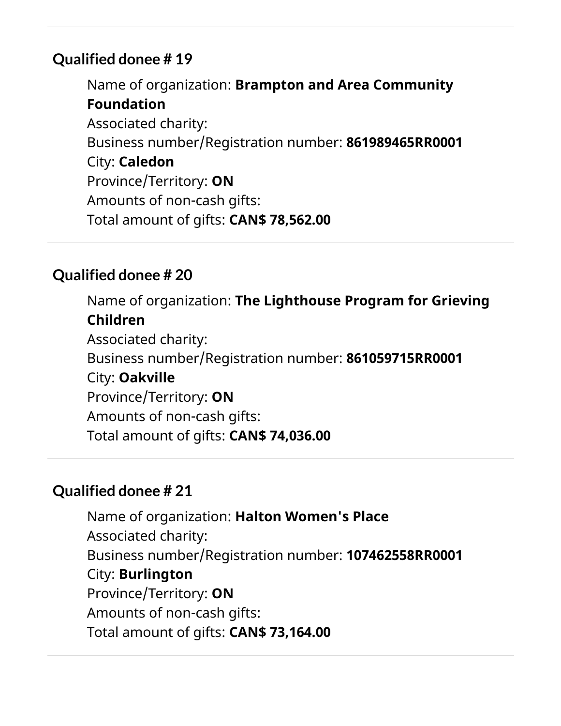Name of organization: **Brampton and Area Community Foundation** Associated charity: Business number/Registration number: **861989465RR0001** City: **Caledon** Province/Territory: **ON** Amounts of non-cash gifts: Total amount of gifts: **CAN\$ 78,562.00**

## **Qualified donee # 20**

Name of organization: **The Lighthouse Program for Grieving Children** Associated charity: Business number/Registration number: **861059715RR0001** City: **Oakville** Province/Territory: **ON** Amounts of non-cash gifts: Total amount of gifts: **CAN\$ 74,036.00**

#### **Qualified donee # 21**

Name of organization: **Halton Women's Place** Associated charity: Business number/Registration number: **107462558RR0001** City: **Burlington** Province/Territory: **ON** Amounts of non-cash gifts: Total amount of gifts: **CAN\$ 73,164.00**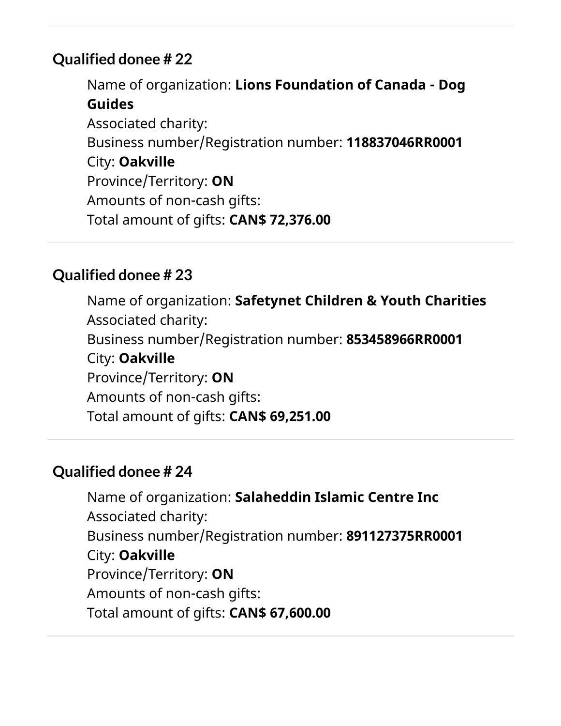Name of organization: **Lions Foundation of Canada - Dog Guides** Associated charity: Business number/Registration number: **118837046RR0001** City: **Oakville** Province/Territory: **ON** Amounts of non-cash gifts: Total amount of gifts: **CAN\$ 72,376.00**

## **Qualified donee # 23**

Name of organization: **Safetynet Children & Youth Charities** Associated charity: Business number/Registration number: **853458966RR0001** City: **Oakville** Province/Territory: **ON** Amounts of non-cash gifts: Total amount of gifts: **CAN\$ 69,251.00**

## **Qualified donee # 24**

Name of organization: **Salaheddin Islamic Centre Inc** Associated charity: Business number/Registration number: **891127375RR0001** City: **Oakville** Province/Territory: **ON** Amounts of non-cash gifts: Total amount of gifts: **CAN\$ 67,600.00**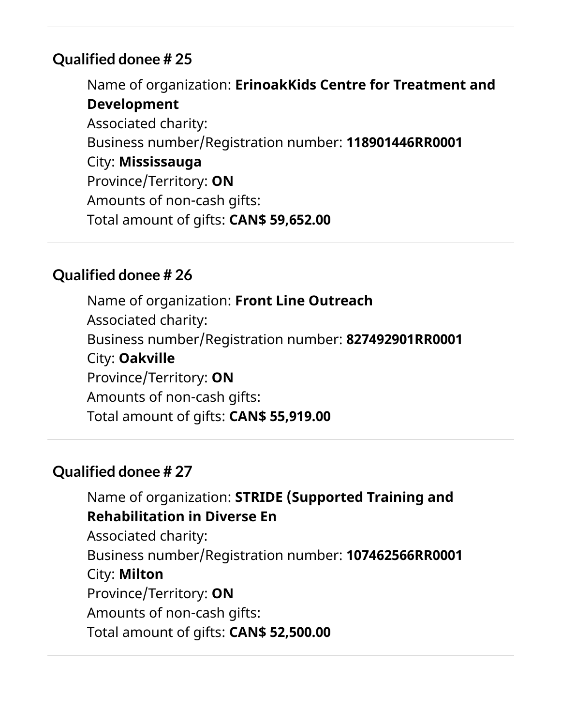Name of organization: **ErinoakKids Centre for Treatment and Development** Associated charity: Business number/Registration number: **118901446RR0001** City: **Mississauga** Province/Territory: **ON** Amounts of non-cash gifts: Total amount of gifts: **CAN\$ 59,652.00**

#### **Qualified donee # 26**

Name of organization: **Front Line Outreach** Associated charity: Business number/Registration number: **827492901RR0001** City: **Oakville** Province/Territory: **ON** Amounts of non-cash gifts: Total amount of gifts: **CAN\$ 55,919.00**

## **Qualified donee # 27**

Name of organization: **STRIDE (Supported Training and Rehabilitation in Diverse En** Associated charity: Business number/Registration number: **107462566RR0001** City: **Milton** Province/Territory: **ON** Amounts of non-cash gifts: Total amount of gifts: **CAN\$ 52,500.00**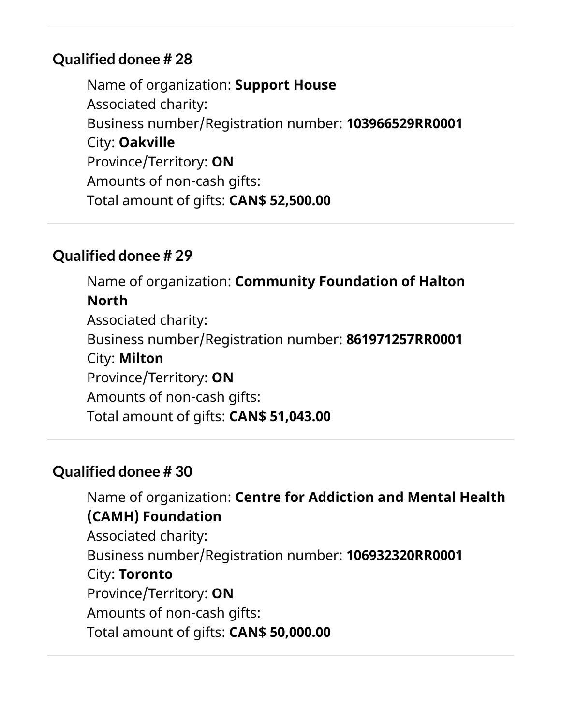Name of organization: **Support House** Associated charity: Business number/Registration number: **103966529RR0001** City: **Oakville** Province/Territory: **ON** Amounts of non-cash gifts: Total amount of gifts: **CAN\$ 52,500.00**

#### **Qualified donee # 29**

Name of organization: **Community Foundation of Halton North** Associated charity: Business number/Registration number: **861971257RR0001** City: **Milton** Province/Territory: **ON** Amounts of non-cash gifts: Total amount of gifts: **CAN\$ 51,043.00**

## **Qualified donee # 30**

Name of organization: **Centre for Addiction and Mental Health (CAMH) Foundation** Associated charity: Business number/Registration number: **106932320RR0001** City: **Toronto** Province/Territory: **ON** Amounts of non-cash gifts: Total amount of gifts: **CAN\$ 50,000.00**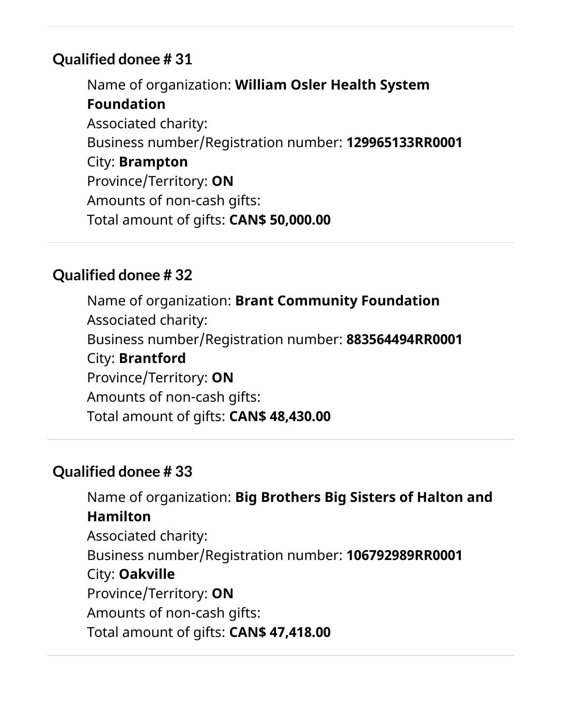Name of organization: **William Osler Health System Foundation** Associated charity: Business number/Registration number: **129965133RR0001** City: **Brampton** Province/Territory: **ON** Amounts of non-cash gifts: Total amount of gifts: **CAN\$ 50,000.00**

## **Qualified donee # 32**

Name of organization: **Brant Community Foundation** Associated charity: Business number/Registration number: **883564494RR0001** City: **Brantford** Province/Territory: **ON** Amounts of non-cash gifts: Total amount of gifts: **CAN\$ 48,430.00**

## **Qualified donee # 33**

Name of organization: **Big Brothers Big Sisters of Halton and Hamilton** Associated charity: Business number/Registration number: **106792989RR0001** City: **Oakville** Province/Territory: **ON** Amounts of non-cash gifts: Total amount of gifts: **CAN\$ 47,418.00**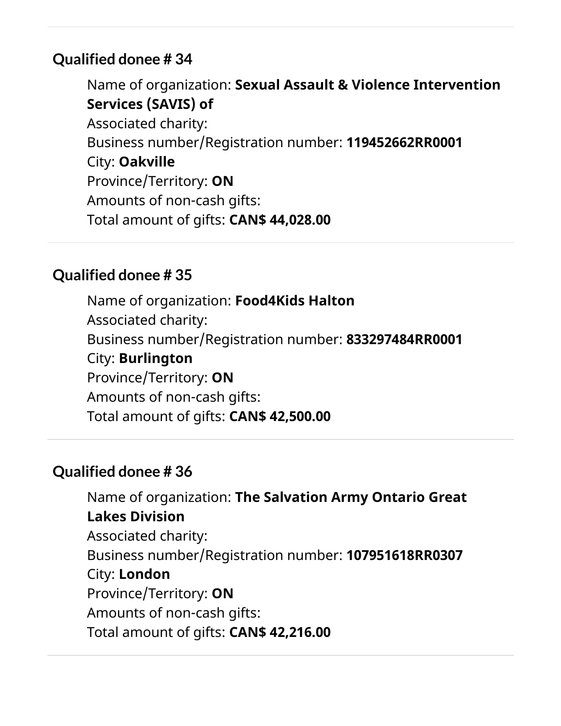Name of organization: **Sexual Assault & Violence Intervention Services (SAVIS) of** Associated charity: Business number/Registration number: **119452662RR0001** City: **Oakville** Province/Territory: **ON** Amounts of non-cash gifts: Total amount of gifts: **CAN\$ 44,028.00**

## **Qualified donee # 35**

Name of organization: **Food4Kids Halton** Associated charity: Business number/Registration number: **833297484RR0001** City: **Burlington** Province/Territory: **ON** Amounts of non-cash gifts: Total amount of gifts: **CAN\$ 42,500.00**

## **Qualified donee # 36**

Name of organization: **The Salvation Army Ontario Great Lakes Division** Associated charity: Business number/Registration number: **107951618RR0307** City: **London** Province/Territory: **ON** Amounts of non-cash gifts: Total amount of gifts: **CAN\$ 42,216.00**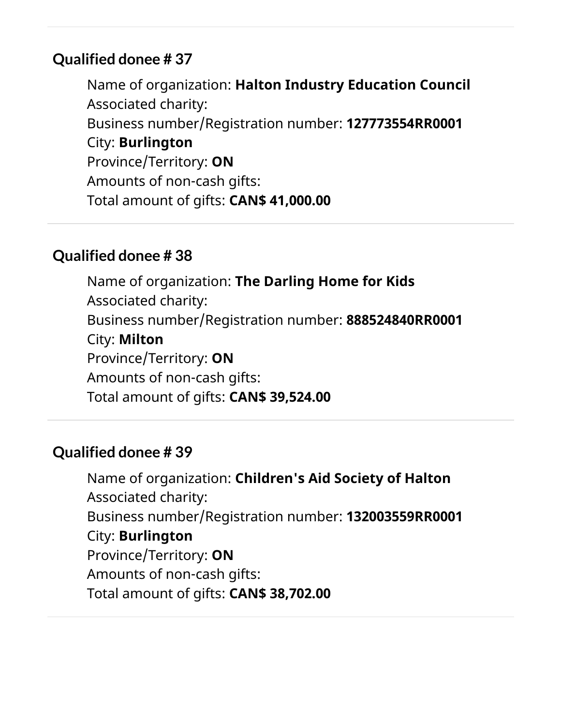Name of organization: **Halton Industry Education Council** Associated charity: Business number/Registration number: **127773554RR0001** City: **Burlington** Province/Territory: **ON** Amounts of non-cash gifts: Total amount of gifts: **CAN\$ 41,000.00**

#### **Qualified donee # 38**

Name of organization: **The Darling Home for Kids** Associated charity: Business number/Registration number: **888524840RR0001** City: **Milton** Province/Territory: **ON** Amounts of non-cash gifts: Total amount of gifts: **CAN\$ 39,524.00**

#### **Qualified donee # 39**

Name of organization: **Children's Aid Society of Halton** Associated charity: Business number/Registration number: **132003559RR0001** City: **Burlington** Province/Territory: **ON** Amounts of non-cash gifts: Total amount of gifts: **CAN\$ 38,702.00**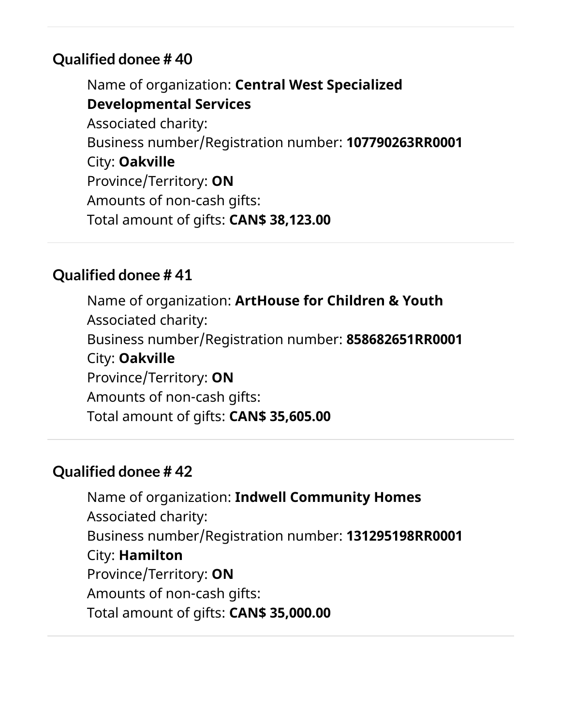Name of organization: **Central West Specialized Developmental Services** Associated charity: Business number/Registration number: **107790263RR0001** City: **Oakville** Province/Territory: **ON** Amounts of non-cash gifts: Total amount of gifts: **CAN\$ 38,123.00**

#### **Qualified donee # 41**

Name of organization: **ArtHouse for Children & Youth** Associated charity: Business number/Registration number: **858682651RR0001** City: **Oakville** Province/Territory: **ON** Amounts of non-cash gifts: Total amount of gifts: **CAN\$ 35,605.00**

#### **Qualified donee # 42**

Name of organization: **Indwell Community Homes** Associated charity: Business number/Registration number: **131295198RR0001** City: **Hamilton** Province/Territory: **ON** Amounts of non-cash gifts: Total amount of gifts: **CAN\$ 35,000.00**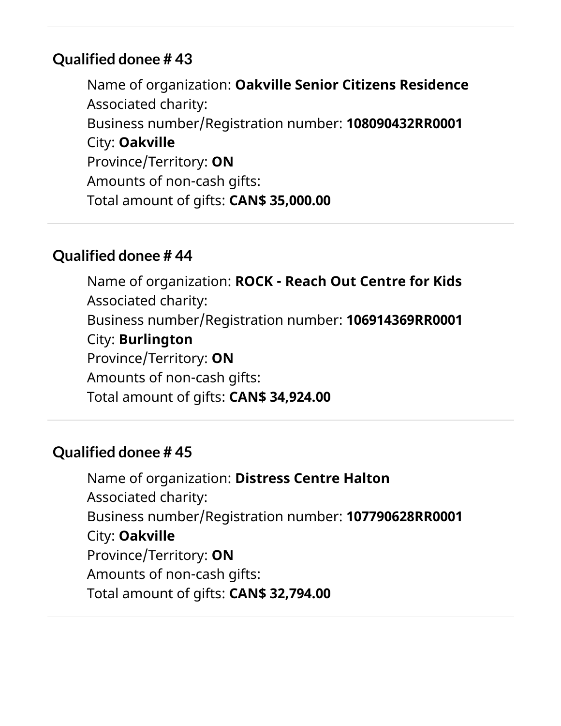Name of organization: **Oakville Senior Citizens Residence** Associated charity: Business number/Registration number: **108090432RR0001** City: **Oakville** Province/Territory: **ON** Amounts of non-cash gifts: Total amount of gifts: **CAN\$ 35,000.00**

#### **Qualified donee # 44**

Name of organization: **ROCK - Reach Out Centre for Kids** Associated charity: Business number/Registration number: **106914369RR0001** City: **Burlington** Province/Territory: **ON** Amounts of non-cash gifts: Total amount of gifts: **CAN\$ 34,924.00**

#### **Qualified donee # 45**

Name of organization: **Distress Centre Halton** Associated charity: Business number/Registration number: **107790628RR0001** City: **Oakville** Province/Territory: **ON** Amounts of non-cash gifts: Total amount of gifts: **CAN\$ 32,794.00**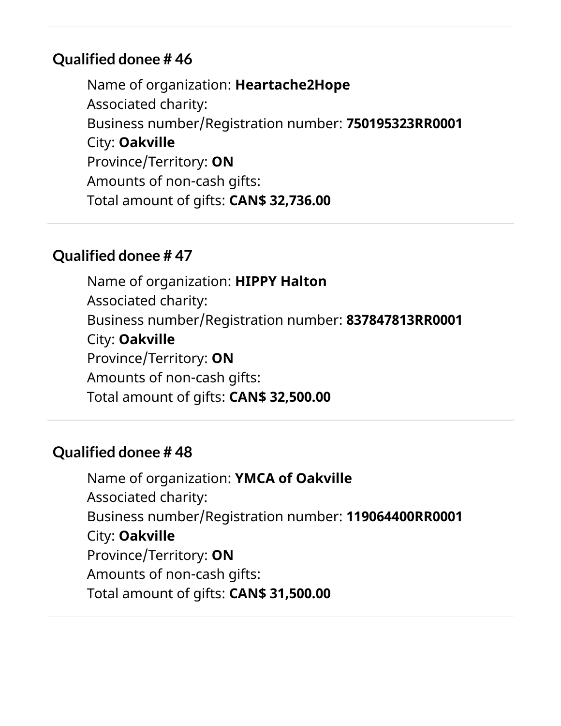Name of organization: **Heartache2Hope** Associated charity: Business number/Registration number: **750195323RR0001** City: **Oakville** Province/Territory: **ON** Amounts of non-cash gifts: Total amount of gifts: **CAN\$ 32,736.00**

#### **Qualified donee # 47**

Name of organization: **HIPPY Halton** Associated charity: Business number/Registration number: **837847813RR0001** City: **Oakville** Province/Territory: **ON** Amounts of non-cash gifts: Total amount of gifts: **CAN\$ 32,500.00**

#### **Qualified donee # 48**

Name of organization: **YMCA of Oakville** Associated charity: Business number/Registration number: **119064400RR0001** City: **Oakville** Province/Territory: **ON** Amounts of non-cash gifts: Total amount of gifts: **CAN\$ 31,500.00**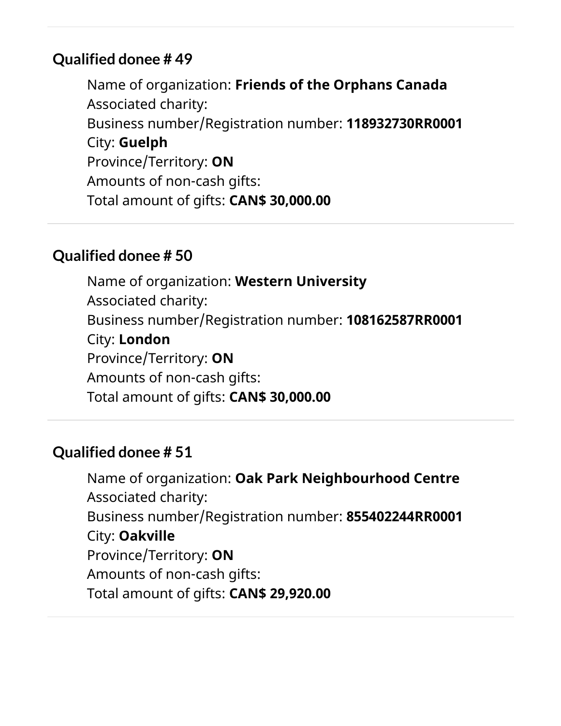Name of organization: **Friends of the Orphans Canada** Associated charity: Business number/Registration number: **118932730RR0001** City: **Guelph** Province/Territory: **ON** Amounts of non-cash gifts: Total amount of gifts: **CAN\$ 30,000.00**

#### **Qualified donee # 50**

Name of organization: **Western University** Associated charity: Business number/Registration number: **108162587RR0001** City: **London** Province/Territory: **ON** Amounts of non-cash gifts: Total amount of gifts: **CAN\$ 30,000.00**

#### **Qualified donee # 51**

Name of organization: **Oak Park Neighbourhood Centre** Associated charity: Business number/Registration number: **855402244RR0001** City: **Oakville** Province/Territory: **ON** Amounts of non-cash gifts: Total amount of gifts: **CAN\$ 29,920.00**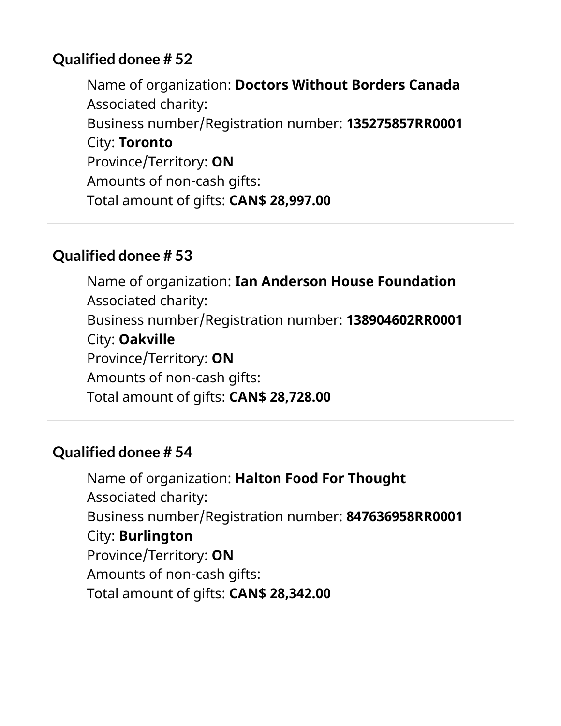Name of organization: **Doctors Without Borders Canada** Associated charity: Business number/Registration number: **135275857RR0001** City: **Toronto** Province/Territory: **ON** Amounts of non-cash gifts: Total amount of gifts: **CAN\$ 28,997.00**

#### **Qualified donee # 53**

Name of organization: **Ian Anderson House Foundation** Associated charity: Business number/Registration number: **138904602RR0001** City: **Oakville** Province/Territory: **ON** Amounts of non-cash gifts: Total amount of gifts: **CAN\$ 28,728.00**

#### **Qualified donee # 54**

Name of organization: **Halton Food For Thought** Associated charity: Business number/Registration number: **847636958RR0001** City: **Burlington** Province/Territory: **ON** Amounts of non-cash gifts: Total amount of gifts: **CAN\$ 28,342.00**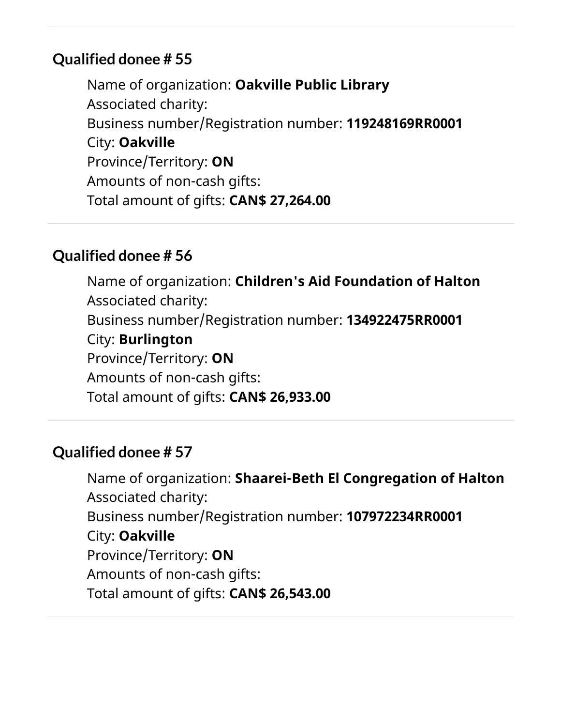Name of organization: **Oakville Public Library** Associated charity: Business number/Registration number: **119248169RR0001** City: **Oakville** Province/Territory: **ON** Amounts of non-cash gifts: Total amount of gifts: **CAN\$ 27,264.00**

#### **Qualified donee # 56**

Name of organization: **Children's Aid Foundation of Halton** Associated charity: Business number/Registration number: **134922475RR0001** City: **Burlington** Province/Territory: **ON** Amounts of non-cash gifts: Total amount of gifts: **CAN\$ 26,933.00**

#### **Qualified donee # 57**

Name of organization: **Shaarei-Beth El Congregation of Halton** Associated charity: Business number/Registration number: **107972234RR0001** City: **Oakville** Province/Territory: **ON** Amounts of non-cash gifts: Total amount of gifts: **CAN\$ 26,543.00**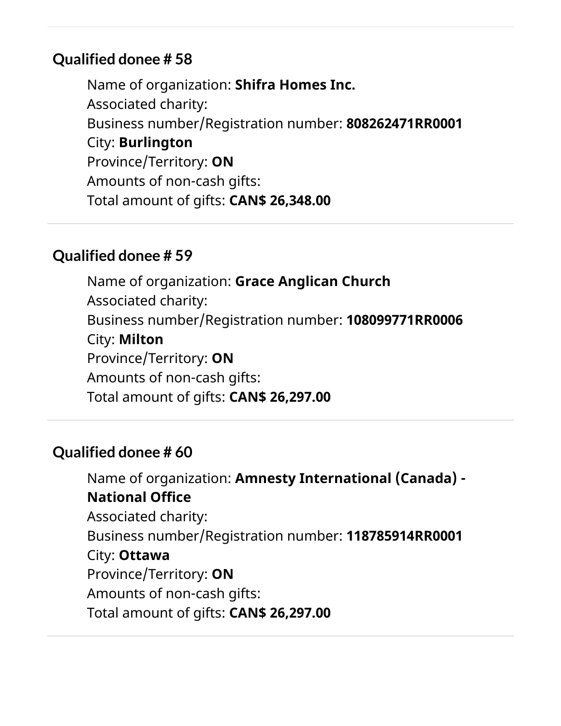Name of organization: **Shifra Homes Inc.** Associated charity: Business number/Registration number: **808262471RR0001** City: **Burlington** Province/Territory: **ON** Amounts of non-cash gifts: Total amount of gifts: **CAN\$ 26,348.00**

#### **Qualified donee # 59**

Name of organization: **Grace Anglican Church** Associated charity: Business number/Registration number: **108099771RR0006** City: **Milton** Province/Territory: **ON** Amounts of non-cash gifts: Total amount of gifts: **CAN\$ 26,297.00**

#### **Qualified donee # 60**

Name of organization: **Amnesty International (Canada) - National Office** Associated charity: Business number/Registration number: **118785914RR0001** City: **Ottawa** Province/Territory: **ON** Amounts of non-cash gifts: Total amount of gifts: **CAN\$ 26,297.00**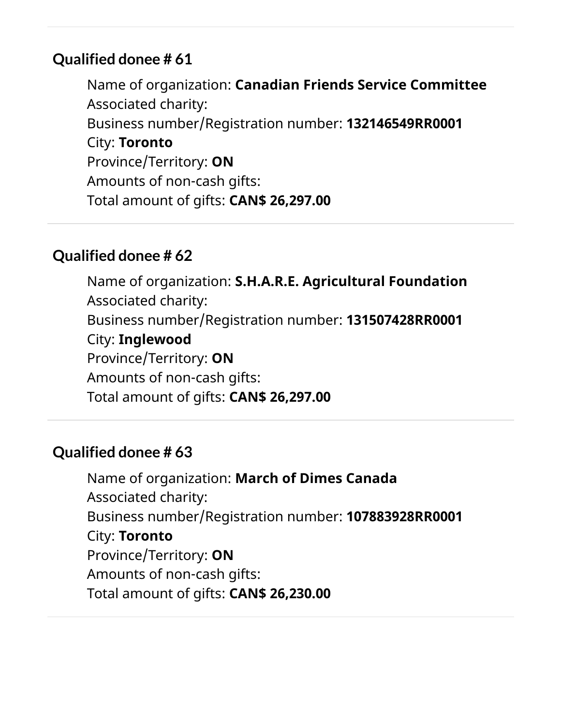Name of organization: **Canadian Friends Service Committee** Associated charity: Business number/Registration number: **132146549RR0001** City: **Toronto** Province/Territory: **ON** Amounts of non-cash gifts: Total amount of gifts: **CAN\$ 26,297.00**

#### **Qualified donee # 62**

Name of organization: **S.H.A.R.E. Agricultural Foundation** Associated charity: Business number/Registration number: **131507428RR0001** City: **Inglewood** Province/Territory: **ON** Amounts of non-cash gifts: Total amount of gifts: **CAN\$ 26,297.00**

#### **Qualified donee # 63**

Name of organization: **March of Dimes Canada** Associated charity: Business number/Registration number: **107883928RR0001** City: **Toronto** Province/Territory: **ON** Amounts of non-cash gifts: Total amount of gifts: **CAN\$ 26,230.00**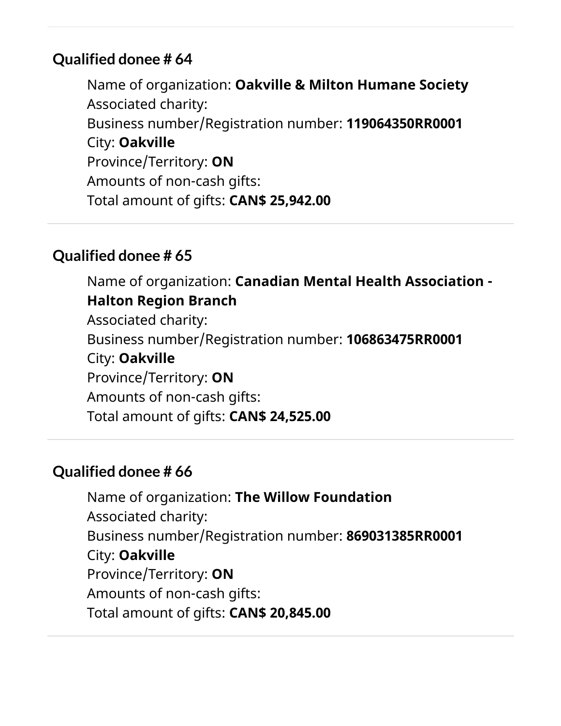Name of organization: **Oakville & Milton Humane Society** Associated charity: Business number/Registration number: **119064350RR0001** City: **Oakville** Province/Territory: **ON** Amounts of non-cash gifts: Total amount of gifts: **CAN\$ 25,942.00**

#### **Qualified donee # 65**

Name of organization: **Canadian Mental Health Association - Halton Region Branch** Associated charity: Business number/Registration number: **106863475RR0001** City: **Oakville** Province/Territory: **ON** Amounts of non-cash gifts: Total amount of gifts: **CAN\$ 24,525.00**

## **Qualified donee # 66**

Name of organization: **The Willow Foundation** Associated charity: Business number/Registration number: **869031385RR0001** City: **Oakville** Province/Territory: **ON** Amounts of non-cash gifts: Total amount of gifts: **CAN\$ 20,845.00**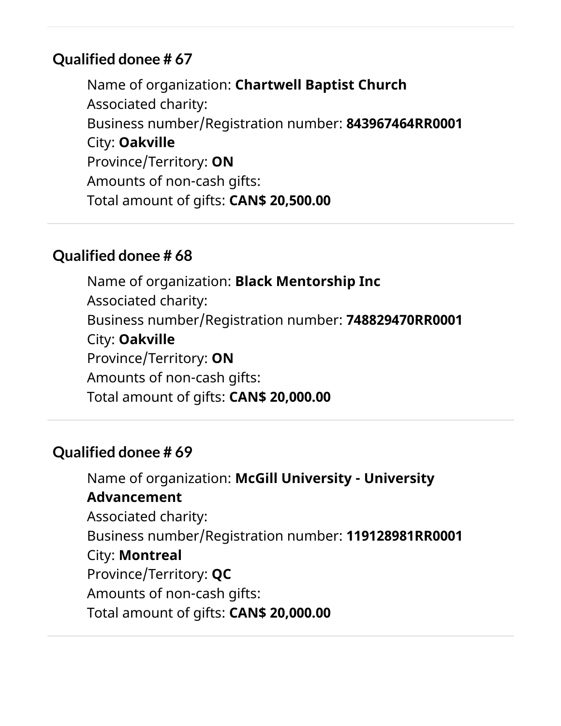Name of organization: **Chartwell Baptist Church** Associated charity: Business number/Registration number: **843967464RR0001** City: **Oakville** Province/Territory: **ON** Amounts of non-cash gifts: Total amount of gifts: **CAN\$ 20,500.00**

#### **Qualified donee # 68**

Name of organization: **Black Mentorship Inc** Associated charity: Business number/Registration number: **748829470RR0001** City: **Oakville** Province/Territory: **ON** Amounts of non-cash gifts: Total amount of gifts: **CAN\$ 20,000.00**

#### **Qualified donee # 69**

Name of organization: **McGill University - University Advancement** Associated charity: Business number/Registration number: **119128981RR0001** City: **Montreal** Province/Territory: **QC** Amounts of non-cash gifts: Total amount of gifts: **CAN\$ 20,000.00**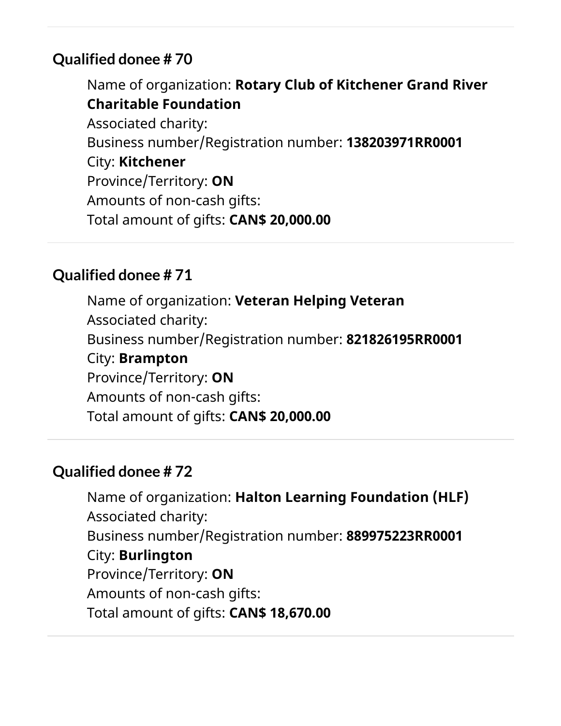Name of organization: **Rotary Club of Kitchener Grand River Charitable Foundation** Associated charity: Business number/Registration number: **138203971RR0001** City: **Kitchener** Province/Territory: **ON** Amounts of non-cash gifts: Total amount of gifts: **CAN\$ 20,000.00**

## **Qualified donee # 71**

Name of organization: **Veteran Helping Veteran** Associated charity: Business number/Registration number: **821826195RR0001** City: **Brampton** Province/Territory: **ON** Amounts of non-cash gifts: Total amount of gifts: **CAN\$ 20,000.00**

## **Qualified donee # 72**

Name of organization: **Halton Learning Foundation (HLF)** Associated charity: Business number/Registration number: **889975223RR0001** City: **Burlington** Province/Territory: **ON** Amounts of non-cash gifts: Total amount of gifts: **CAN\$ 18,670.00**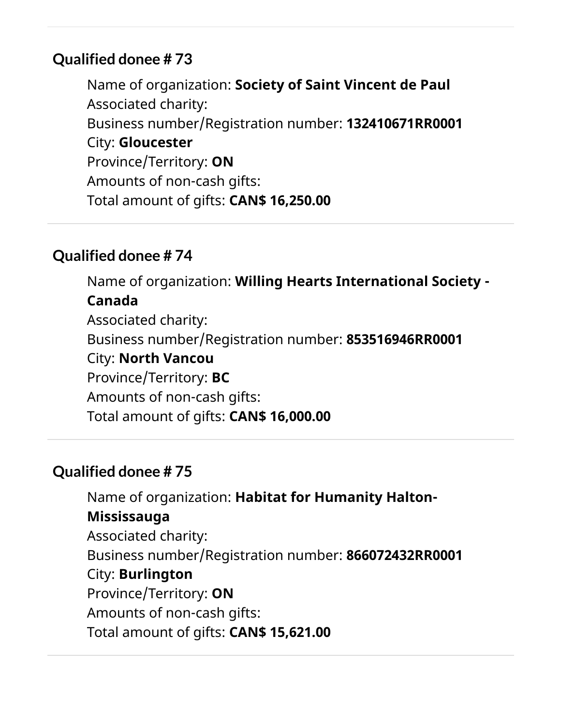Name of organization: **Society of Saint Vincent de Paul** Associated charity: Business number/Registration number: **132410671RR0001** City: **Gloucester** Province/Territory: **ON** Amounts of non-cash gifts: Total amount of gifts: **CAN\$ 16,250.00**

#### **Qualified donee # 74**

Name of organization: **Willing Hearts International Society - Canada** Associated charity: Business number/Registration number: **853516946RR0001** City: **North Vancou** Province/Territory: **BC** Amounts of non-cash gifts: Total amount of gifts: **CAN\$ 16,000.00**

## **Qualified donee # 75**

Name of organization: **Habitat for Humanity Halton-Mississauga** Associated charity: Business number/Registration number: **866072432RR0001** City: **Burlington** Province/Territory: **ON** Amounts of non-cash gifts: Total amount of gifts: **CAN\$ 15,621.00**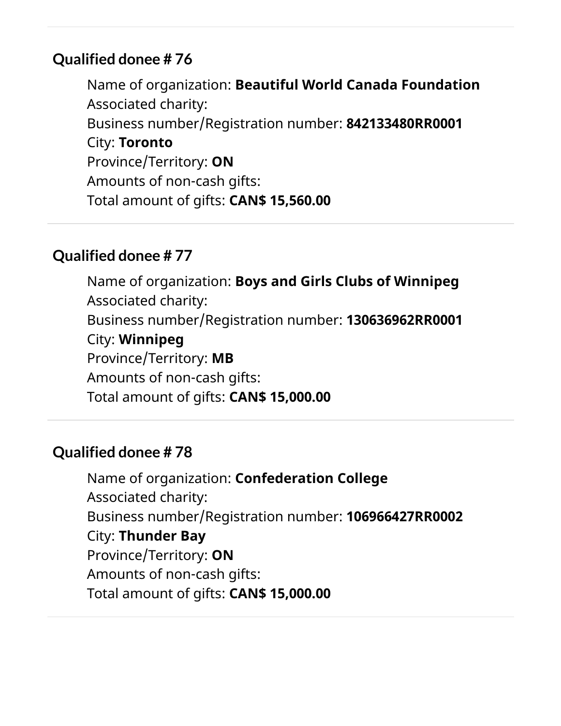Name of organization: **Beautiful World Canada Foundation** Associated charity: Business number/Registration number: **842133480RR0001** City: **Toronto** Province/Territory: **ON** Amounts of non-cash gifts: Total amount of gifts: **CAN\$ 15,560.00**

#### **Qualified donee # 77**

Name of organization: **Boys and Girls Clubs of Winnipeg** Associated charity: Business number/Registration number: **130636962RR0001** City: **Winnipeg** Province/Territory: **MB** Amounts of non-cash gifts: Total amount of gifts: **CAN\$ 15,000.00**

#### **Qualified donee # 78**

Name of organization: **Confederation College** Associated charity: Business number/Registration number: **106966427RR0002** City: **Thunder Bay** Province/Territory: **ON** Amounts of non-cash gifts: Total amount of gifts: **CAN\$ 15,000.00**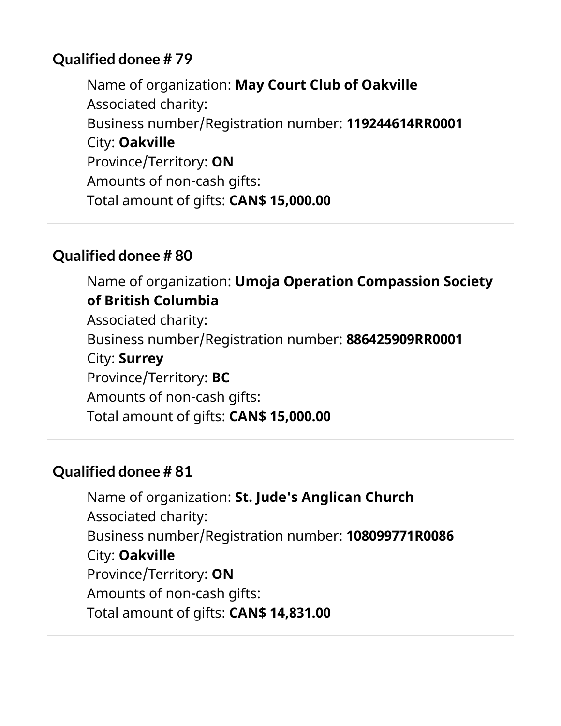Name of organization: **May Court Club of Oakville** Associated charity: Business number/Registration number: **119244614RR0001** City: **Oakville** Province/Territory: **ON** Amounts of non-cash gifts: Total amount of gifts: **CAN\$ 15,000.00**

#### **Qualified donee # 80**

Name of organization: **Umoja Operation Compassion Society of British Columbia** Associated charity: Business number/Registration number: **886425909RR0001** City: **Surrey** Province/Territory: **BC** Amounts of non-cash gifts: Total amount of gifts: **CAN\$ 15,000.00**

## **Qualified donee # 81**

Name of organization: **St. Jude's Anglican Church** Associated charity: Business number/Registration number: **108099771R0086** City: **Oakville** Province/Territory: **ON** Amounts of non-cash gifts: Total amount of gifts: **CAN\$ 14,831.00**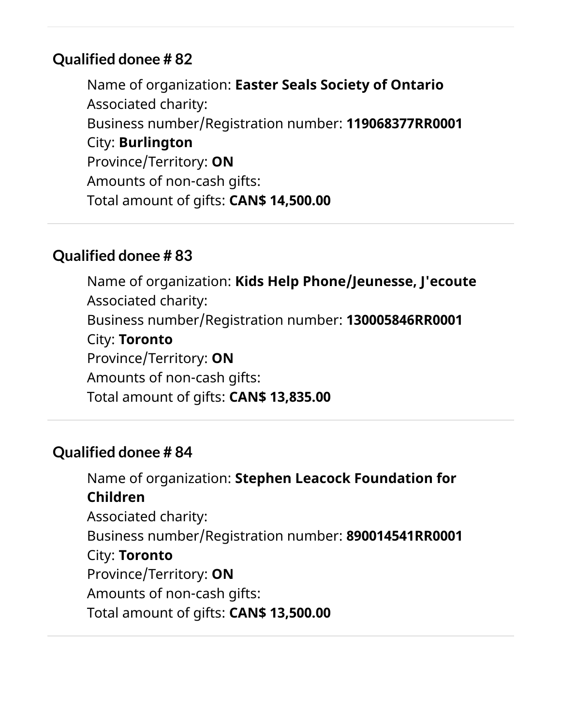Name of organization: **Easter Seals Society of Ontario** Associated charity: Business number/Registration number: **119068377RR0001** City: **Burlington** Province/Territory: **ON** Amounts of non-cash gifts: Total amount of gifts: **CAN\$ 14,500.00**

#### **Qualified donee # 83**

Name of organization: **Kids Help Phone/Jeunesse, J'ecoute** Associated charity: Business number/Registration number: **130005846RR0001** City: **Toronto** Province/Territory: **ON** Amounts of non-cash gifts: Total amount of gifts: **CAN\$ 13,835.00**

#### **Qualified donee # 84**

Name of organization: **Stephen Leacock Foundation for Children** Associated charity: Business number/Registration number: **890014541RR0001** City: **Toronto** Province/Territory: **ON** Amounts of non-cash gifts: Total amount of gifts: **CAN\$ 13,500.00**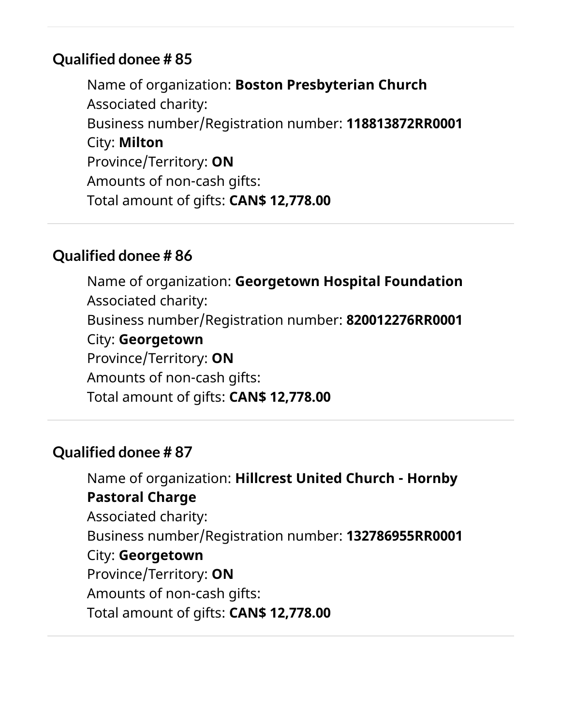Name of organization: **Boston Presbyterian Church** Associated charity: Business number/Registration number: **118813872RR0001** City: **Milton** Province/Territory: **ON** Amounts of non-cash gifts: Total amount of gifts: **CAN\$ 12,778.00**

#### **Qualified donee # 86**

Name of organization: **Georgetown Hospital Foundation** Associated charity: Business number/Registration number: **820012276RR0001** City: **Georgetown** Province/Territory: **ON** Amounts of non-cash gifts: Total amount of gifts: **CAN\$ 12,778.00**

#### **Qualified donee # 87**

Name of organization: **Hillcrest United Church - Hornby Pastoral Charge** Associated charity: Business number/Registration number: **132786955RR0001** City: **Georgetown** Province/Territory: **ON** Amounts of non-cash gifts: Total amount of gifts: **CAN\$ 12,778.00**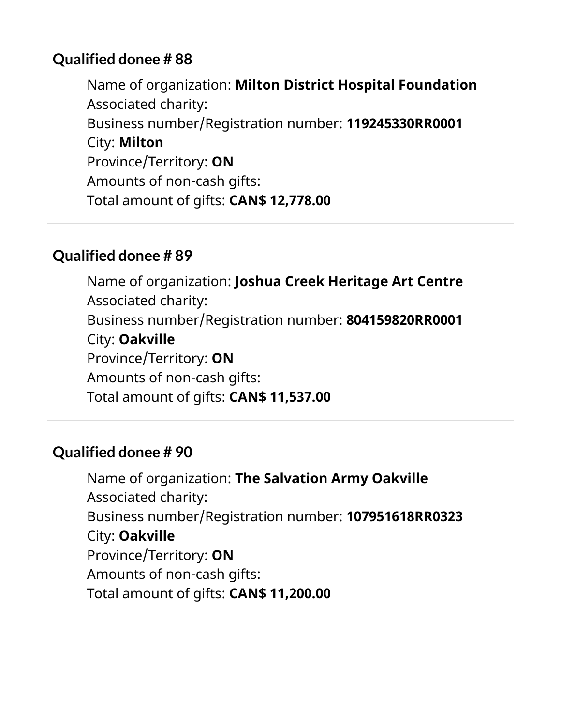Name of organization: **Milton District Hospital Foundation** Associated charity: Business number/Registration number: **119245330RR0001** City: **Milton** Province/Territory: **ON** Amounts of non-cash gifts: Total amount of gifts: **CAN\$ 12,778.00**

#### **Qualified donee # 89**

Name of organization: **Joshua Creek Heritage Art Centre** Associated charity: Business number/Registration number: **804159820RR0001** City: **Oakville** Province/Territory: **ON** Amounts of non-cash gifts: Total amount of gifts: **CAN\$ 11,537.00**

#### **Qualified donee # 90**

Name of organization: **The Salvation Army Oakville** Associated charity: Business number/Registration number: **107951618RR0323** City: **Oakville** Province/Territory: **ON** Amounts of non-cash gifts: Total amount of gifts: **CAN\$ 11,200.00**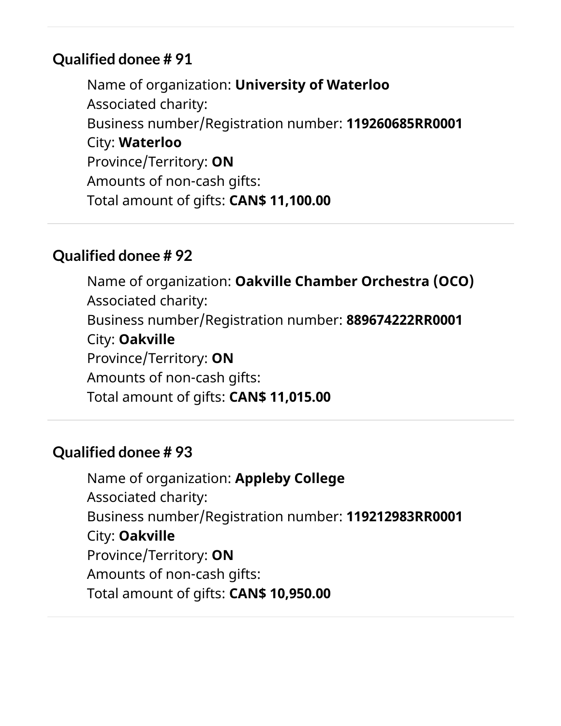Name of organization: **University of Waterloo** Associated charity: Business number/Registration number: **119260685RR0001** City: **Waterloo** Province/Territory: **ON** Amounts of non-cash gifts: Total amount of gifts: **CAN\$ 11,100.00**

#### **Qualified donee # 92**

Name of organization: **Oakville Chamber Orchestra (OCO)** Associated charity: Business number/Registration number: **889674222RR0001** City: **Oakville** Province/Territory: **ON** Amounts of non-cash gifts: Total amount of gifts: **CAN\$ 11,015.00**

#### **Qualified donee # 93**

Name of organization: **Appleby College** Associated charity: Business number/Registration number: **119212983RR0001** City: **Oakville** Province/Territory: **ON** Amounts of non-cash gifts: Total amount of gifts: **CAN\$ 10,950.00**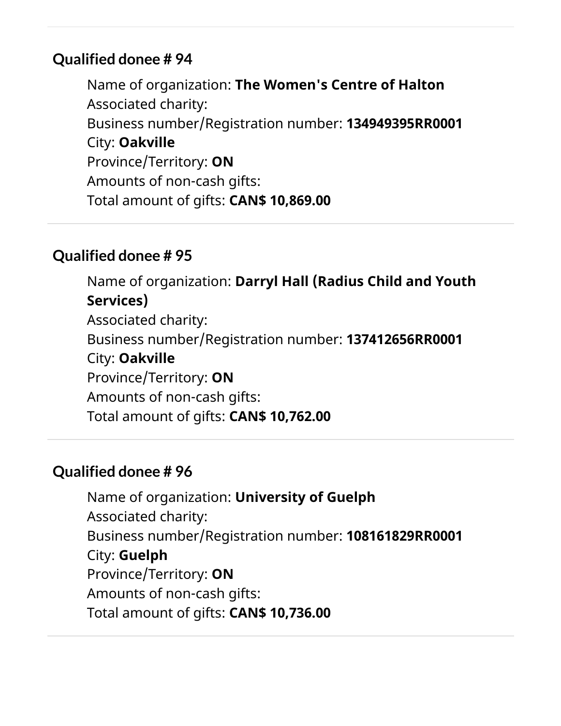Name of organization: **The Women's Centre of Halton** Associated charity: Business number/Registration number: **134949395RR0001** City: **Oakville** Province/Territory: **ON** Amounts of non-cash gifts: Total amount of gifts: **CAN\$ 10,869.00**

#### **Qualified donee # 95**

Name of organization: **Darryl Hall (Radius Child and Youth Services)** Associated charity: Business number/Registration number: **137412656RR0001** City: **Oakville** Province/Territory: **ON** Amounts of non-cash gifts: Total amount of gifts: **CAN\$ 10,762.00**

## **Qualified donee # 96**

Name of organization: **University of Guelph** Associated charity: Business number/Registration number: **108161829RR0001** City: **Guelph** Province/Territory: **ON** Amounts of non-cash gifts: Total amount of gifts: **CAN\$ 10,736.00**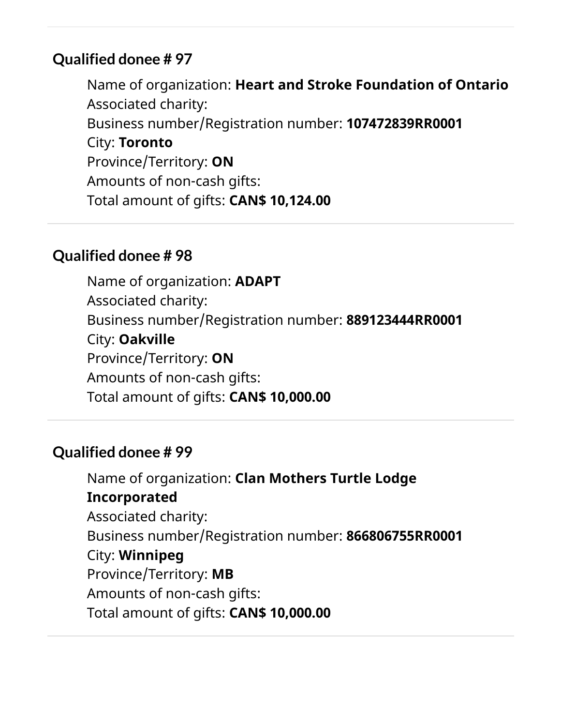Name of organization: **Heart and Stroke Foundation of Ontario** Associated charity: Business number/Registration number: **107472839RR0001** City: **Toronto** Province/Territory: **ON** Amounts of non-cash gifts: Total amount of gifts: **CAN\$ 10,124.00**

#### **Qualified donee # 98**

Name of organization: **ADAPT** Associated charity: Business number/Registration number: **889123444RR0001** City: **Oakville** Province/Territory: **ON** Amounts of non-cash gifts: Total amount of gifts: **CAN\$ 10,000.00**

#### **Qualified donee # 99**

Name of organization: **Clan Mothers Turtle Lodge Incorporated** Associated charity: Business number/Registration number: **866806755RR0001** City: **Winnipeg** Province/Territory: **MB** Amounts of non-cash gifts: Total amount of gifts: **CAN\$ 10,000.00**